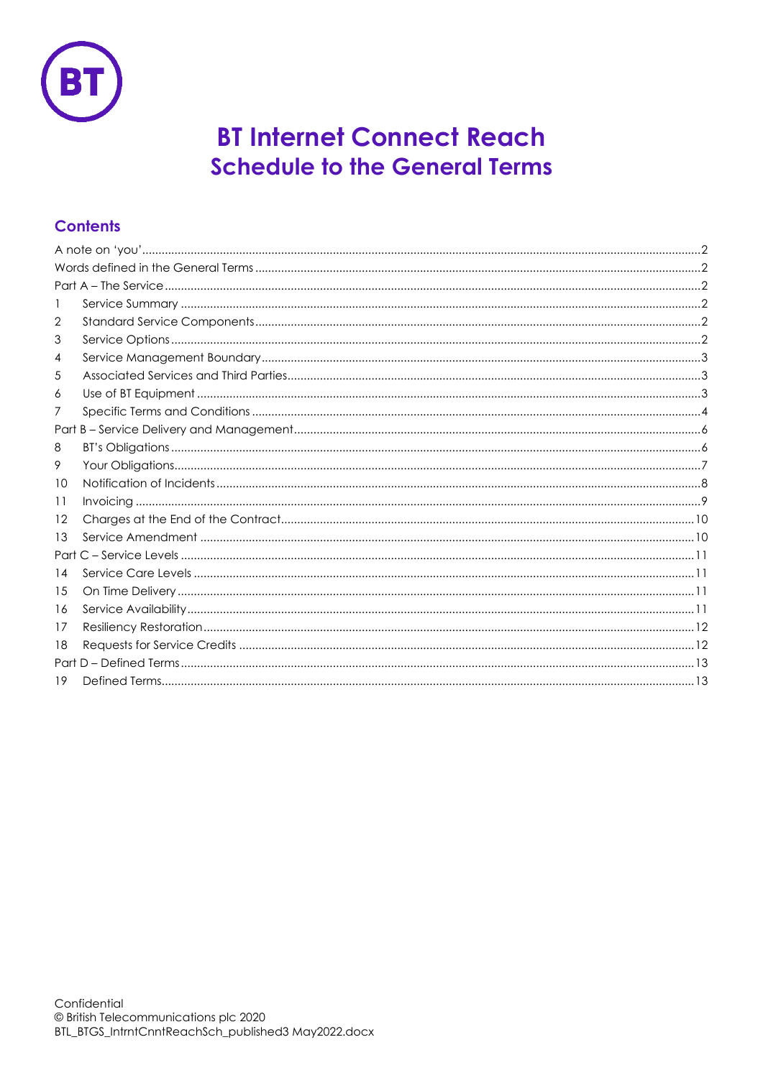

# **BT Internet Connect Reach Schedule to the General Terms**

# **Contents**

| $\mathbf{I}$ |  |  |  |  |  |
|--------------|--|--|--|--|--|
| 2            |  |  |  |  |  |
| 3            |  |  |  |  |  |
| 4            |  |  |  |  |  |
| 5            |  |  |  |  |  |
| 6            |  |  |  |  |  |
| 7            |  |  |  |  |  |
|              |  |  |  |  |  |
| 8            |  |  |  |  |  |
| 9            |  |  |  |  |  |
| 10           |  |  |  |  |  |
| 11           |  |  |  |  |  |
| 12           |  |  |  |  |  |
| 13           |  |  |  |  |  |
|              |  |  |  |  |  |
| 14           |  |  |  |  |  |
| 15           |  |  |  |  |  |
| 16           |  |  |  |  |  |
| 17           |  |  |  |  |  |
| 18           |  |  |  |  |  |
|              |  |  |  |  |  |
| 19           |  |  |  |  |  |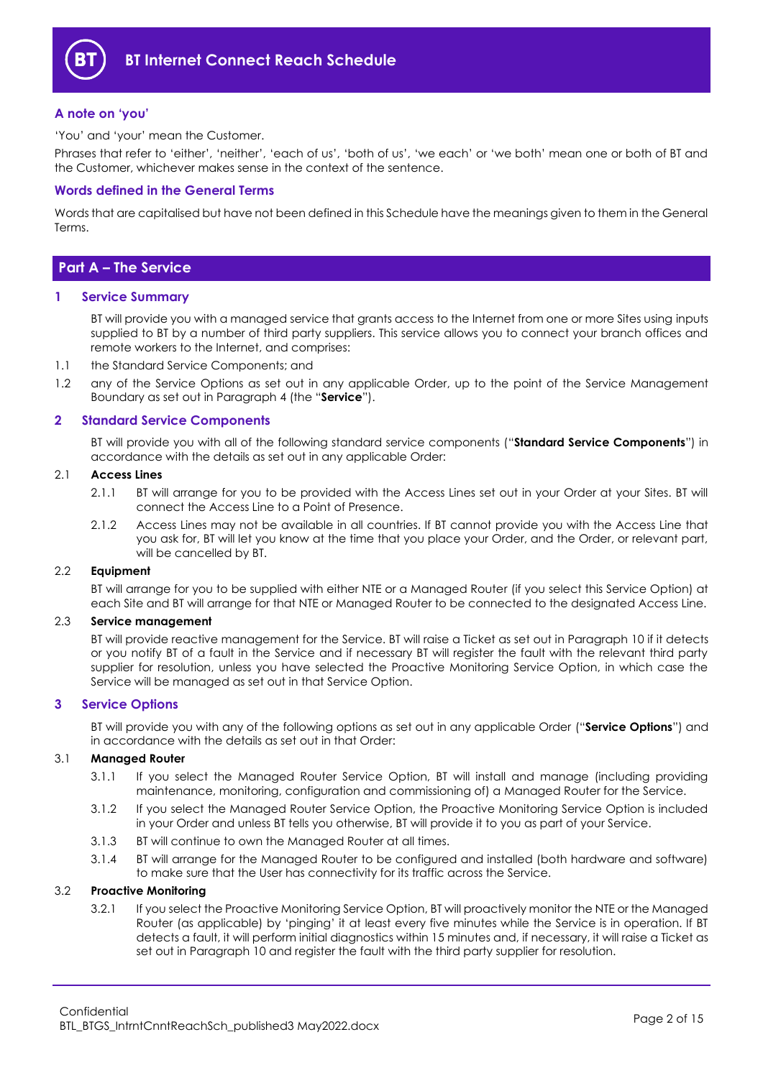

# <span id="page-1-0"></span>**A note on 'you'**

'You' and 'your' mean the Customer.

Phrases that refer to 'either', 'neither', 'each of us', 'both of us', 'we each' or 'we both' mean one or both of BT and the Customer, whichever makes sense in the context of the sentence.

# <span id="page-1-1"></span>**Words defined in the General Terms**

Words that are capitalised but have not been defined in this Schedule have the meanings given to them in the General Terms.

# <span id="page-1-2"></span>**Part A – The Service**

# <span id="page-1-3"></span>**1 Service Summary**

BT will provide you with a managed service that grants access to the Internet from one or more Sites using inputs supplied to BT by a number of third party suppliers. This service allows you to connect your branch offices and remote workers to the Internet, and comprises:

- 1.1 the Standard Service Components; and
- 1.2 any of the Service Options as set out in any applicable Order, up to the point of the Service Management Boundary as set out in Paragraph [4](#page-2-0) (the "**Service**").

# <span id="page-1-4"></span>**2 Standard Service Components**

BT will provide you with all of the following standard service components ("**Standard Service Components**") in accordance with the details as set out in any applicable Order:

#### <span id="page-1-6"></span>2.1 **Access Lines**

- 2.1.1 BT will arrange for you to be provided with the Access Lines set out in your Order at your Sites. BT will connect the Access Line to a Point of Presence.
- 2.1.2 Access Lines may not be available in all countries. If BT cannot provide you with the Access Line that you ask for, BT will let you know at the time that you place your Order, and the Order, or relevant part, will be cancelled by BT.

# 2.2 **Equipment**

BT will arrange for you to be supplied with either NTE or a Managed Router (if you select this Service Option) at each Site and BT will arrange for that NTE or Managed Router to be connected to the designated Access Line.

# 2.3 **Service management**

BT will provide reactive management for the Service. BT will raise a Ticket as set out in Paragrap[h 10](#page-7-0) if it detects or you notify BT of a fault in the Service and if necessary BT will register the fault with the relevant third party supplier for resolution, unless you have selected the Proactive Monitoring Service Option, in which case the Service will be managed as set out in that Service Option.

# <span id="page-1-5"></span>**3 Service Options**

BT will provide you with any of the following options as set out in any applicable Order ("**Service Options**") and in accordance with the details as set out in that Order:

# 3.1 **Managed Router**

- 3.1.1 If you select the Managed Router Service Option, BT will install and manage (including providing maintenance, monitoring, configuration and commissioning of) a Managed Router for the Service.
- 3.1.2 If you select the Managed Router Service Option, the Proactive Monitoring Service Option is included in your Order and unless BT tells you otherwise, BT will provide it to you as part of your Service.
- 3.1.3 BT will continue to own the Managed Router at all times.
- 3.1.4 BT will arrange for the Managed Router to be configured and installed (both hardware and software) to make sure that the User has connectivity for its traffic across the Service.

# 3.2 **Proactive Monitoring**

3.2.1 If you select the Proactive Monitoring Service Option, BT will proactively monitor the NTE or the Managed Router (as applicable) by 'pinging' it at least every five minutes while the Service is in operation. If BT detects a fault, it will perform initial diagnostics within 15 minutes and, if necessary, it will raise a Ticket as set out in Paragraph [10](#page-7-0) and register the fault with the third party supplier for resolution.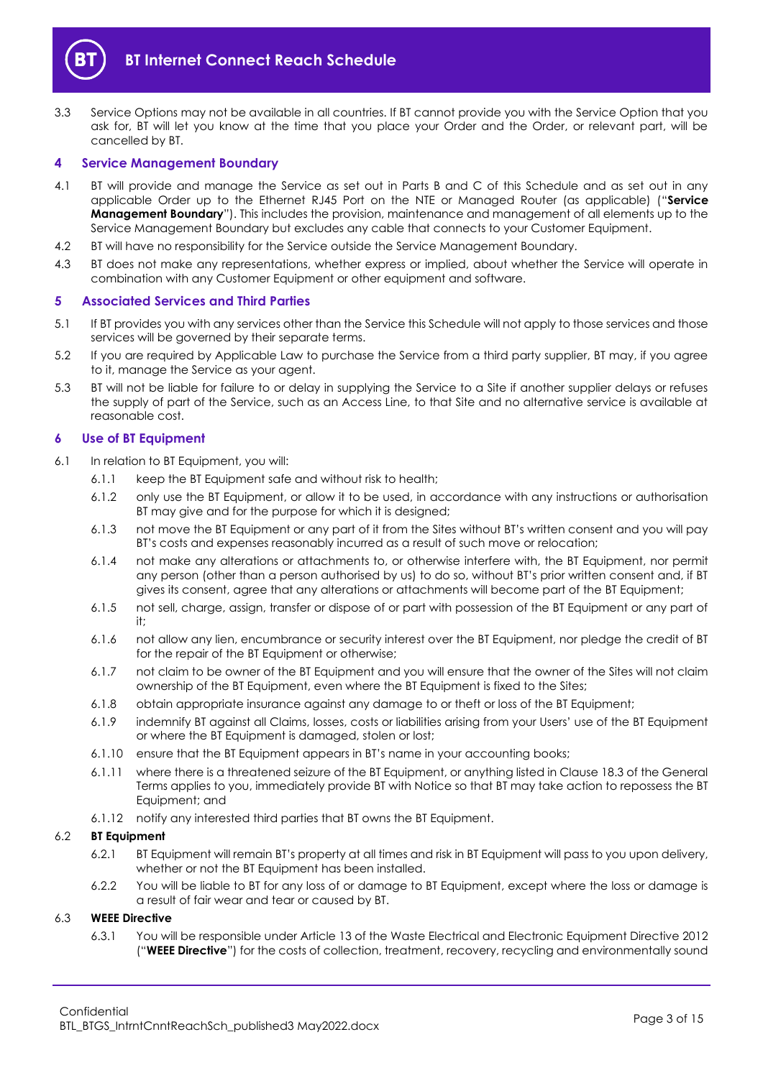

3.3 Service Options may not be available in all countries. If BT cannot provide you with the Service Option that you ask for, BT will let you know at the time that you place your Order and the Order, or relevant part, will be cancelled by BT.

# <span id="page-2-0"></span>**4 Service Management Boundary**

- <span id="page-2-4"></span>4.1 BT will provide and manage the Service as set out in Parts B and C of this Schedule and as set out in any applicable Order up to the Ethernet RJ45 Port on the NTE or Managed Router (as applicable) ("**Service Management Boundary**"). This includes the provision, maintenance and management of all elements up to the Service Management Boundary but excludes any cable that connects to your Customer Equipment.
- 4.2 BT will have no responsibility for the Service outside the Service Management Boundary.
- 4.3 BT does not make any representations, whether express or implied, about whether the Service will operate in combination with any Customer Equipment or other equipment and software.

# <span id="page-2-1"></span>**5 Associated Services and Third Parties**

- 5.1 If BT provides you with any services other than the Service this Schedule will not apply to those services and those services will be governed by their separate terms.
- 5.2 If you are required by Applicable Law to purchase the Service from a third party supplier, BT may, if you agree to it, manage the Service as your agent.
- 5.3 BT will not be liable for failure to or delay in supplying the Service to a Site if another supplier delays or refuses the supply of part of the Service, such as an Access Line, to that Site and no alternative service is available at reasonable cost.

# <span id="page-2-2"></span>**6 Use of BT Equipment**

- 6.1 In relation to BT Equipment, you will:
	- 6.1.1 keep the BT Equipment safe and without risk to health;
	- 6.1.2 only use the BT Equipment, or allow it to be used, in accordance with any instructions or authorisation BT may give and for the purpose for which it is designed;
	- 6.1.3 not move the BT Equipment or any part of it from the Sites without BT's written consent and you will pay BT's costs and expenses reasonably incurred as a result of such move or relocation;
	- 6.1.4 not make any alterations or attachments to, or otherwise interfere with, the BT Equipment, nor permit any person (other than a person authorised by us) to do so, without BT's prior written consent and, if BT gives its consent, agree that any alterations or attachments will become part of the BT Equipment;
	- 6.1.5 not sell, charge, assign, transfer or dispose of or part with possession of the BT Equipment or any part of it;
	- 6.1.6 not allow any lien, encumbrance or security interest over the BT Equipment, nor pledge the credit of BT for the repair of the BT Equipment or otherwise;
	- 6.1.7 not claim to be owner of the BT Equipment and you will ensure that the owner of the Sites will not claim ownership of the BT Equipment, even where the BT Equipment is fixed to the Sites;
	- 6.1.8 obtain appropriate insurance against any damage to or theft or loss of the BT Equipment;
	- 6.1.9 indemnify BT against all Claims, losses, costs or liabilities arising from your Users' use of the BT Equipment or where the BT Equipment is damaged, stolen or lost;
	- 6.1.10 ensure that the BT Equipment appears in BT's name in your accounting books;
	- 6.1.11 where there is a threatened seizure of the BT Equipment, or anything listed in Clause 18.3 of the General Terms applies to you, immediately provide BT with Notice so that BT may take action to repossess the BT Equipment; and
	- 6.1.12 notify any interested third parties that BT owns the BT Equipment.

# 6.2 **BT Equipment**

- 6.2.1 BT Equipment will remain BT's property at all times and risk in BT Equipment will pass to you upon delivery, whether or not the BT Equipment has been installed.
- 6.2.2 You will be liable to BT for any loss of or damage to BT Equipment, except where the loss or damage is a result of fair wear and tear or caused by BT.

# <span id="page-2-5"></span><span id="page-2-3"></span>6.3 **WEEE Directive**

6.3.1 You will be responsible under Article 13 of the Waste Electrical and Electronic Equipment Directive 2012 ("**WEEE Directive**") for the costs of collection, treatment, recovery, recycling and environmentally sound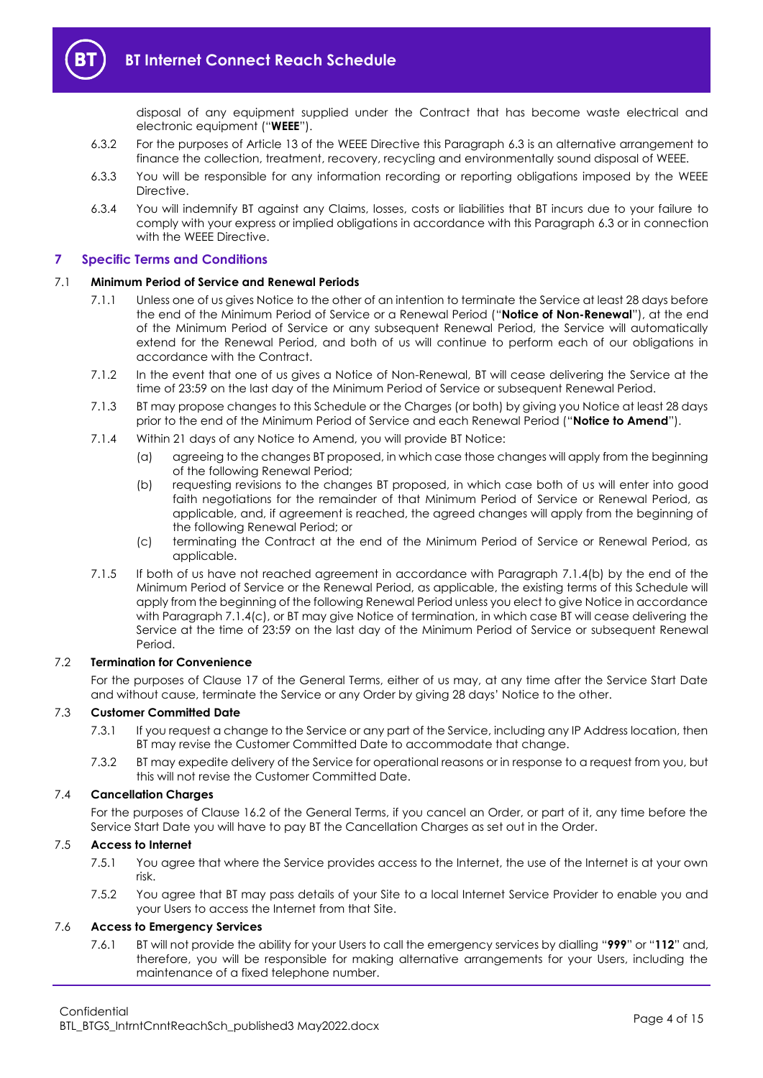

disposal of any equipment supplied under the Contract that has become waste electrical and electronic equipment ("**WEEE**").

- 6.3.2 For the purposes of Article 13 of the WEEE Directive this Paragraph [6.3](#page-2-3) is an alternative arrangement to finance the collection, treatment, recovery, recycling and environmentally sound disposal of WEEE.
- 6.3.3 You will be responsible for any information recording or reporting obligations imposed by the WEEE Directive.
- 6.3.4 You will indemnify BT against any Claims, losses, costs or liabilities that BT incurs due to your failure to comply with your express or implied obligations in accordance with this Paragrap[h 6.3](#page-2-3) or in connection with the WEEE Directive.

# <span id="page-3-0"></span>**7 Specific Terms and Conditions**

#### 7.1 **Minimum Period of Service and Renewal Periods**

- 7.1.1 Unless one of us gives Notice to the other of an intention to terminate the Service at least 28 days before the end of the Minimum Period of Service or a Renewal Period ("**Notice of Non-Renewal**"), at the end of the Minimum Period of Service or any subsequent Renewal Period, the Service will automatically extend for the Renewal Period, and both of us will continue to perform each of our obligations in accordance with the Contract.
- 7.1.2 In the event that one of us gives a Notice of Non-Renewal, BT will cease delivering the Service at the time of 23:59 on the last day of the Minimum Period of Service or subsequent Renewal Period.
- <span id="page-3-3"></span>7.1.3 BT may propose changes to this Schedule or the Charges (or both) by giving you Notice at least 28 days prior to the end of the Minimum Period of Service and each Renewal Period ("**Notice to Amend**").
- <span id="page-3-1"></span>7.1.4 Within 21 days of any Notice to Amend, you will provide BT Notice:
	- (a) agreeing to the changes BT proposed, in which case those changes will apply from the beginning of the following Renewal Period;
	- (b) requesting revisions to the changes BT proposed, in which case both of us will enter into good faith negotiations for the remainder of that Minimum Period of Service or Renewal Period, as applicable, and, if agreement is reached, the agreed changes will apply from the beginning of the following Renewal Period; or
	- (c) terminating the Contract at the end of the Minimum Period of Service or Renewal Period, as applicable.
- <span id="page-3-2"></span>7.1.5 If both of us have not reached agreement in accordance with Paragraph [7.1.4\(b\)](#page-3-1) by the end of the Minimum Period of Service or the Renewal Period, as applicable, the existing terms of this Schedule will apply from the beginning of the following Renewal Period unless you elect to give Notice in accordance with Paragraph [7.1.4\(c\),](#page-3-2) or BT may give Notice of termination, in which case BT will cease delivering the Service at the time of 23:59 on the last day of the Minimum Period of Service or subsequent Renewal Period.

# 7.2 **Termination for Convenience**

For the purposes of Clause 17 of the General Terms, either of us may, at any time after the Service Start Date and without cause, terminate the Service or any Order by giving 28 days' Notice to the other.

# 7.3 **Customer Committed Date**

- 7.3.1 If you request a change to the Service or any part of the Service, including any IP Address location, then BT may revise the Customer Committed Date to accommodate that change.
- 7.3.2 BT may expedite delivery of the Service for operational reasons or in response to a request from you, but this will not revise the Customer Committed Date.

#### 7.4 **Cancellation Charges**

For the purposes of Clause 16.2 of the General Terms, if you cancel an Order, or part of it, any time before the Service Start Date you will have to pay BT the Cancellation Charges as set out in the Order.

# 7.5 **Access to Internet**

- 7.5.1 You agree that where the Service provides access to the Internet, the use of the Internet is at your own risk.
- 7.5.2 You agree that BT may pass details of your Site to a local Internet Service Provider to enable you and your Users to access the Internet from that Site.

# 7.6 **Access to Emergency Services**

7.6.1 BT will not provide the ability for your Users to call the emergency services by dialling "**999**" or "**112**" and, therefore, you will be responsible for making alternative arrangements for your Users, including the maintenance of a fixed telephone number.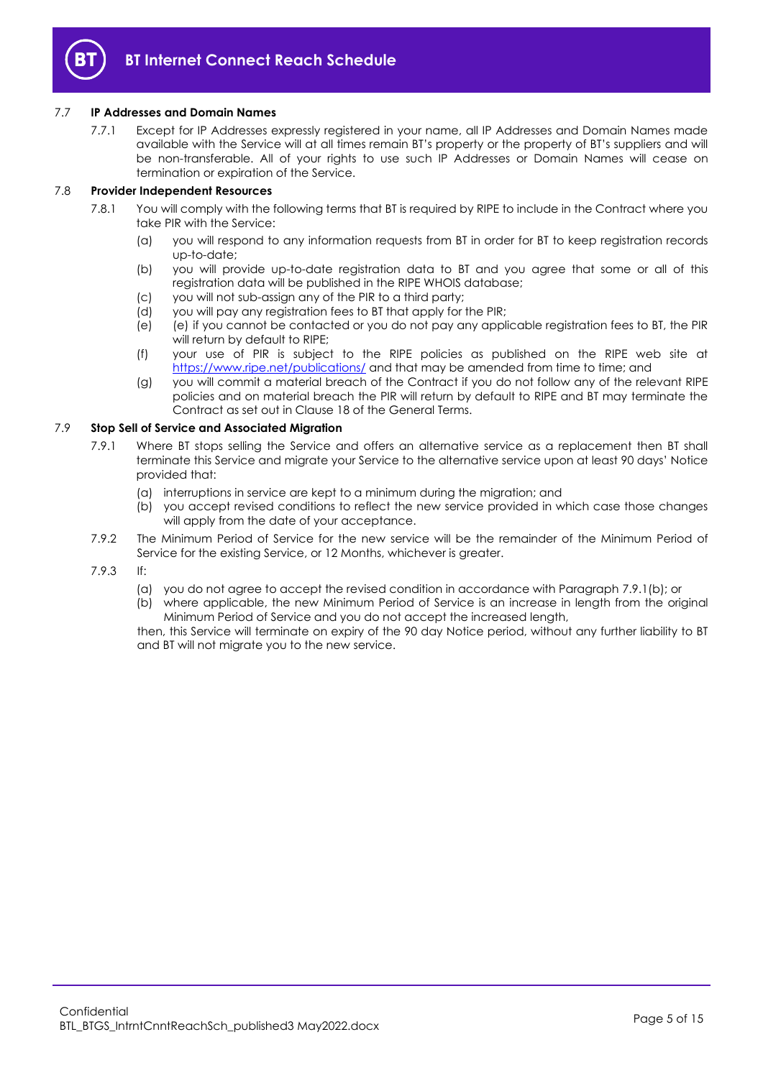

# 7.7 **IP Addresses and Domain Names**

7.7.1 Except for IP Addresses expressly registered in your name, all IP Addresses and Domain Names made available with the Service will at all times remain BT's property or the property of BT's suppliers and will be non-transferable. All of your rights to use such IP Addresses or Domain Names will cease on termination or expiration of the Service.

# 7.8 **Provider Independent Resources**

- 7.8.1 You will comply with the following terms that BT is required by RIPE to include in the Contract where you take PIR with the Service:
	- (a) you will respond to any information requests from BT in order for BT to keep registration records up-to-date;
	- (b) you will provide up-to-date registration data to BT and you agree that some or all of this registration data will be published in the RIPE WHOIS database;
	- (c) you will not sub-assign any of the PIR to a third party;
	- (d) you will pay any registration fees to BT that apply for the PIR;
	- (e) (e) if you cannot be contacted or you do not pay any applicable registration fees to BT, the PIR will return by default to RIPE;
	- (f) your use of PIR is subject to the RIPE policies as published on the RIPE web site at <https://www.ripe.net/publications/> and that may be amended from time to time; and
	- (g) you will commit a material breach of the Contract if you do not follow any of the relevant RIPE policies and on material breach the PIR will return by default to RIPE and BT may terminate the Contract as set out in Clause 18 of the General Terms.

#### 7.9 **Stop Sell of Service and Associated Migration**

- 7.9.1 Where BT stops selling the Service and offers an alternative service as a replacement then BT shall terminate this Service and migrate your Service to the alternative service upon at least 90 days' Notice provided that:
	- (a) interruptions in service are kept to a minimum during the migration; and
	- (b) you accept revised conditions to reflect the new service provided in which case those changes will apply from the date of your acceptance.
- 7.9.2 The Minimum Period of Service for the new service will be the remainder of the Minimum Period of Service for the existing Service, or 12 Months, whichever is greater.
- 7.9.3 If:
	- (a) you do not agree to accept the revised condition in accordance with Paragraph 7.9.1(b); or
	- (b) where applicable, the new Minimum Period of Service is an increase in length from the original Minimum Period of Service and you do not accept the increased length,

then, this Service will terminate on expiry of the 90 day Notice period, without any further liability to BT and BT will not migrate you to the new service.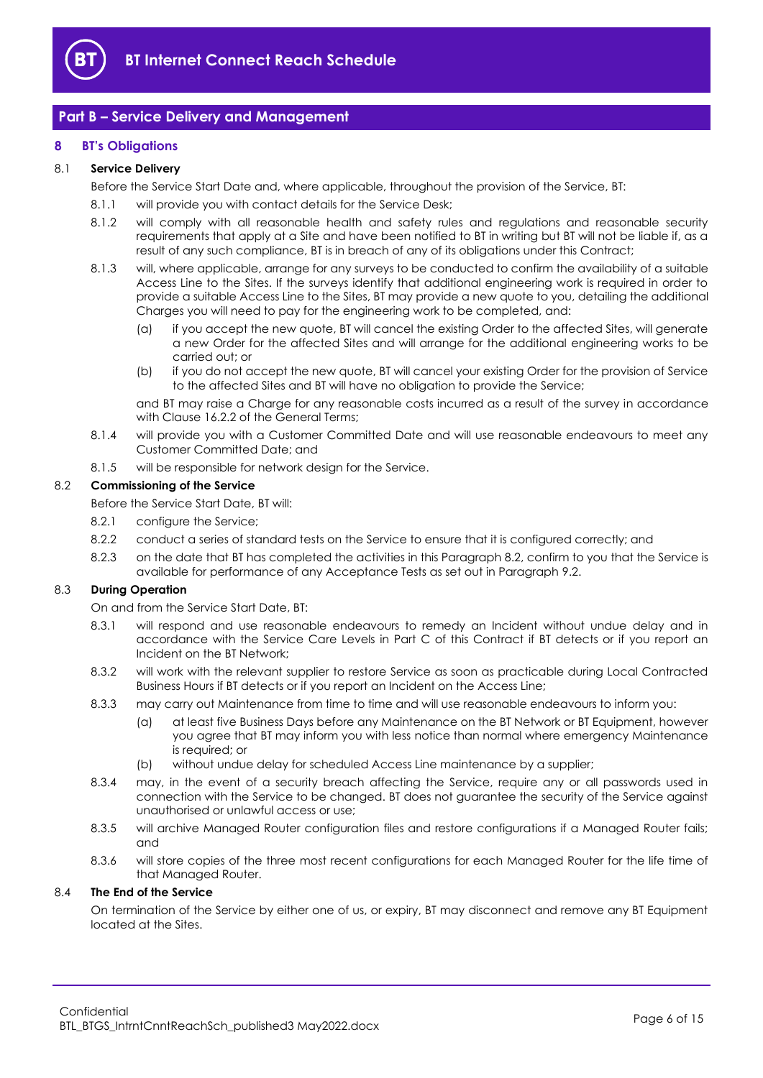

# <span id="page-5-0"></span>**Part B – Service Delivery and Management**

# <span id="page-5-1"></span>**8 BT's Obligations**

# 8.1 **Service Delivery**

Before the Service Start Date and, where applicable, throughout the provision of the Service, BT:

- 8.1.1 will provide you with contact details for the Service Desk;
- 8.1.2 will comply with all reasonable health and safety rules and regulations and reasonable security requirements that apply at a Site and have been notified to BT in writing but BT will not be liable if, as a result of any such compliance, BT is in breach of any of its obligations under this Contract;
- 8.1.3 will, where applicable, arrange for any surveys to be conducted to confirm the availability of a suitable Access Line to the Sites. If the surveys identify that additional engineering work is required in order to provide a suitable Access Line to the Sites, BT may provide a new quote to you, detailing the additional Charges you will need to pay for the engineering work to be completed, and:
	- (a) if you accept the new quote, BT will cancel the existing Order to the affected Sites, will generate a new Order for the affected Sites and will arrange for the additional engineering works to be carried out; or
	- (b) if you do not accept the new quote, BT will cancel your existing Order for the provision of Service to the affected Sites and BT will have no obligation to provide the Service;

and BT may raise a Charge for any reasonable costs incurred as a result of the survey in accordance with Clause 16.2.2 of the General Terms;

- 8.1.4 will provide you with a Customer Committed Date and will use reasonable endeavours to meet any Customer Committed Date; and
- 8.1.5 will be responsible for network design for the Service.

# <span id="page-5-2"></span>8.2 **Commissioning of the Service**

Before the Service Start Date, BT will:

- 8.2.1 configure the Service;
- 8.2.2 conduct a series of standard tests on the Service to ensure that it is configured correctly; and
- 8.2.3 on the date that BT has completed the activities in this Paragrap[h 8.2,](#page-5-2) confirm to you that the Service is available for performance of any Acceptance Tests as set out in Paragrap[h 9.2.](#page-6-1)

# <span id="page-5-4"></span><span id="page-5-3"></span>8.3 **During Operation**

On and from the Service Start Date, BT:

- 8.3.1 will respond and use reasonable endeavours to remedy an Incident without undue delay and in accordance with the Service Care Levels in Part C of this Contract if BT detects or if you report an Incident on the BT Network;
- <span id="page-5-5"></span>8.3.2 will work with the relevant supplier to restore Service as soon as practicable during Local Contracted Business Hours if BT detects or if you report an Incident on the Access Line;
- 8.3.3 may carry out Maintenance from time to time and will use reasonable endeavours to inform you:
	- (a) at least five Business Days before any Maintenance on the BT Network or BT Equipment, however you agree that BT may inform you with less notice than normal where emergency Maintenance is required; or
	- (b) without undue delay for scheduled Access Line maintenance by a supplier;
- 8.3.4 may, in the event of a security breach affecting the Service, require any or all passwords used in connection with the Service to be changed. BT does not guarantee the security of the Service against unauthorised or unlawful access or use;
- 8.3.5 will archive Managed Router configuration files and restore configurations if a Managed Router fails; and
- 8.3.6 will store copies of the three most recent configurations for each Managed Router for the life time of that Managed Router.

# 8.4 **The End of the Service**

On termination of the Service by either one of us, or expiry, BT may disconnect and remove any BT Equipment located at the Sites.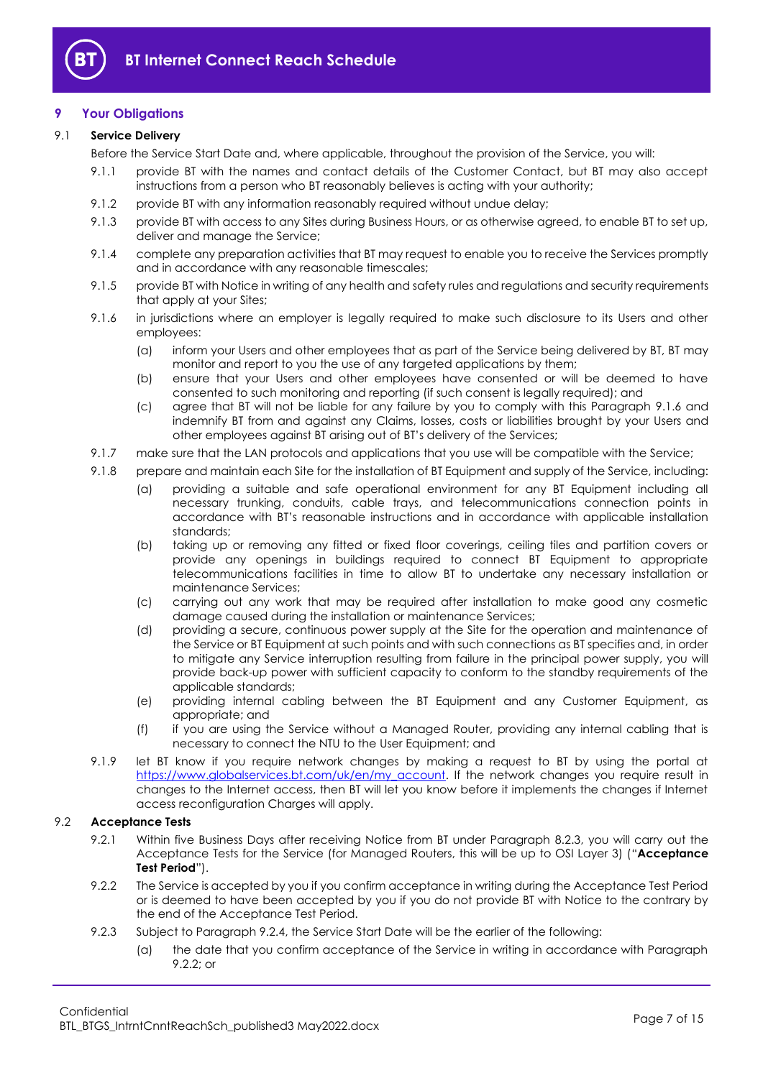

# <span id="page-6-0"></span>**9 Your Obligations**

# 9.1 **Service Delivery**

- Before the Service Start Date and, where applicable, throughout the provision of the Service, you will:
	- 9.1.1 provide BT with the names and contact details of the Customer Contact, but BT may also accept instructions from a person who BT reasonably believes is acting with your authority;
- 9.1.2 provide BT with any information reasonably required without undue delay;
- 9.1.3 provide BT with access to any Sites during Business Hours, or as otherwise agreed, to enable BT to set up, deliver and manage the Service;
- 9.1.4 complete any preparation activities that BT may request to enable you to receive the Services promptly and in accordance with any reasonable timescales;
- 9.1.5 provide BT with Notice in writing of any health and safety rules and regulations and security requirements that apply at your Sites;
- <span id="page-6-2"></span>9.1.6 in jurisdictions where an employer is legally required to make such disclosure to its Users and other employees:
	- (a) inform your Users and other employees that as part of the Service being delivered by BT, BT may monitor and report to you the use of any targeted applications by them;
	- (b) ensure that your Users and other employees have consented or will be deemed to have consented to such monitoring and reporting (if such consent is legally required); and
	- (c) agree that BT will not be liable for any failure by you to comply with this Paragraph [9.1.6](#page-6-2) and indemnify BT from and against any Claims, losses, costs or liabilities brought by your Users and other employees against BT arising out of BT's delivery of the Services;
- 9.1.7 make sure that the LAN protocols and applications that you use will be compatible with the Service;
- 9.1.8 prepare and maintain each Site for the installation of BT Equipment and supply of the Service, including:
	- (a) providing a suitable and safe operational environment for any BT Equipment including all necessary trunking, conduits, cable trays, and telecommunications connection points in accordance with BT's reasonable instructions and in accordance with applicable installation standards;
	- (b) taking up or removing any fitted or fixed floor coverings, ceiling tiles and partition covers or provide any openings in buildings required to connect BT Equipment to appropriate telecommunications facilities in time to allow BT to undertake any necessary installation or maintenance Services;
	- (c) carrying out any work that may be required after installation to make good any cosmetic damage caused during the installation or maintenance Services;
	- (d) providing a secure, continuous power supply at the Site for the operation and maintenance of the Service or BT Equipment at such points and with such connections as BT specifies and, in order to mitigate any Service interruption resulting from failure in the principal power supply, you will provide back-up power with sufficient capacity to conform to the standby requirements of the applicable standards;
	- (e) providing internal cabling between the BT Equipment and any Customer Equipment, as appropriate; and
	- (f) if you are using the Service without a Managed Router, providing any internal cabling that is necessary to connect the NTU to the User Equipment; and
- 9.1.9 let BT know if you require network changes by making a request to BT by using the portal at [https://www.globalservices.bt.com/uk/en/my\\_account.](https://www.globalservices.bt.com/uk/en/my_account) If the network changes you require result in changes to the Internet access, then BT will let you know before it implements the changes if Internet access reconfiguration Charges will apply.

# <span id="page-6-4"></span><span id="page-6-1"></span>9.2 **Acceptance Tests**

- 9.2.1 Within five Business Days after receiving Notice from BT under Paragraph [8.2.3,](#page-5-3) you will carry out the Acceptance Tests for the Service (for Managed Routers, this will be up to OSI Layer 3) ("**Acceptance Test Period**").
- <span id="page-6-3"></span>9.2.2 The Service is accepted by you if you confirm acceptance in writing during the Acceptance Test Period or is deemed to have been accepted by you if you do not provide BT with Notice to the contrary by the end of the Acceptance Test Period.
- 9.2.3 Subject to Paragraph [9.2.4,](#page-7-1) the Service Start Date will be the earlier of the following:
	- (a) the date that you confirm acceptance of the Service in writing in accordance with Paragraph [9.2.2;](#page-6-3) or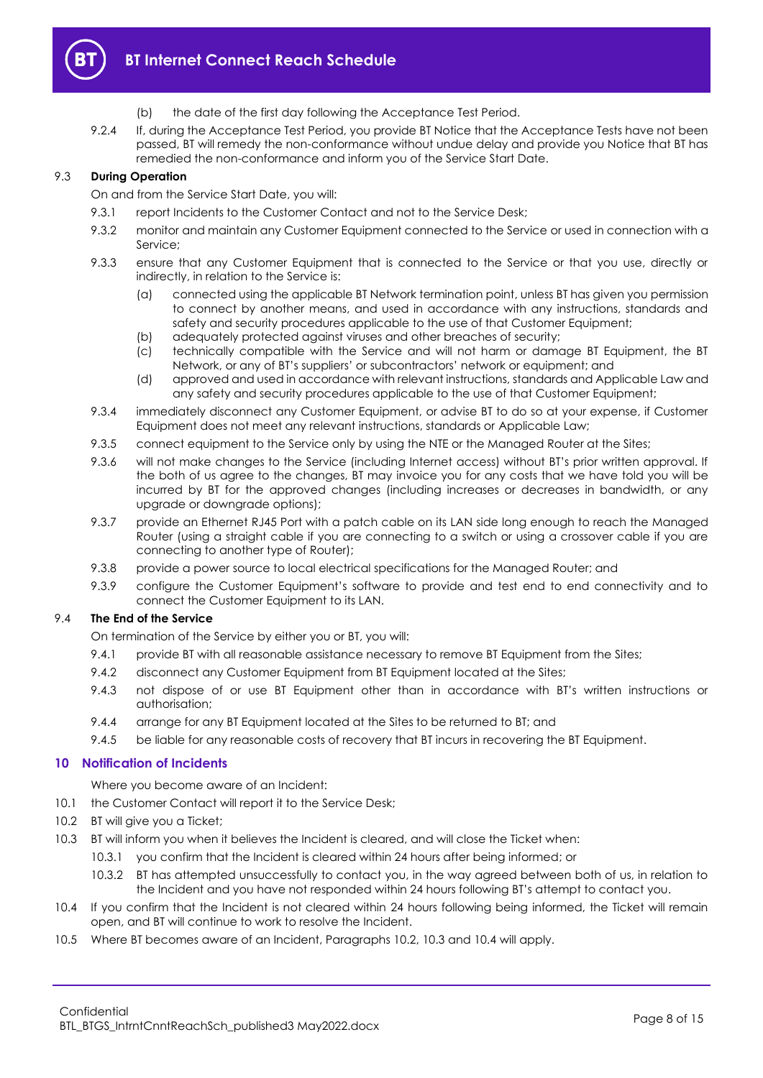

- (b) the date of the first day following the Acceptance Test Period.
- <span id="page-7-1"></span>9.2.4 If, during the Acceptance Test Period, you provide BT Notice that the Acceptance Tests have not been passed, BT will remedy the non-conformance without undue delay and provide you Notice that BT has remedied the non-conformance and inform you of the Service Start Date.

# 9.3 **During Operation**

On and from the Service Start Date, you will:

- 9.3.1 report Incidents to the Customer Contact and not to the Service Desk;
- 9.3.2 monitor and maintain any Customer Equipment connected to the Service or used in connection with a Service;
- 9.3.3 ensure that any Customer Equipment that is connected to the Service or that you use, directly or indirectly, in relation to the Service is:
	- (a) connected using the applicable BT Network termination point, unless BT has given you permission to connect by another means, and used in accordance with any instructions, standards and safety and security procedures applicable to the use of that Customer Equipment;
	- (b) adequately protected against viruses and other breaches of security;
	- (c) technically compatible with the Service and will not harm or damage BT Equipment, the BT Network, or any of BT's suppliers' or subcontractors' network or equipment; and
	- (d) approved and used in accordance with relevant instructions, standards and Applicable Law and any safety and security procedures applicable to the use of that Customer Equipment;
- 9.3.4 immediately disconnect any Customer Equipment, or advise BT to do so at your expense, if Customer Equipment does not meet any relevant instructions, standards or Applicable Law;
- 9.3.5 connect equipment to the Service only by using the NTE or the Managed Router at the Sites;
- 9.3.6 will not make changes to the Service (including Internet access) without BT's prior written approval. If the both of us agree to the changes, BT may invoice you for any costs that we have told you will be incurred by BT for the approved changes (including increases or decreases in bandwidth, or any upgrade or downgrade options);
- 9.3.7 provide an Ethernet RJ45 Port with a patch cable on its LAN side long enough to reach the Managed Router (using a straight cable if you are connecting to a switch or using a crossover cable if you are connecting to another type of Router);
- 9.3.8 provide a power source to local electrical specifications for the Managed Router; and
- 9.3.9 configure the Customer Equipment's software to provide and test end to end connectivity and to connect the Customer Equipment to its LAN.

# 9.4 **The End of the Service**

On termination of the Service by either you or BT, you will:

- 9.4.1 provide BT with all reasonable assistance necessary to remove BT Equipment from the Sites;
- 9.4.2 disconnect any Customer Equipment from BT Equipment located at the Sites;
- 9.4.3 not dispose of or use BT Equipment other than in accordance with BT's written instructions or authorisation;
- 9.4.4 arrange for any BT Equipment located at the Sites to be returned to BT; and
- 9.4.5 be liable for any reasonable costs of recovery that BT incurs in recovering the BT Equipment.

# <span id="page-7-0"></span>**10 Notification of Incidents**

Where you become aware of an Incident:

10.1 the Customer Contact will report it to the Service Desk;

- <span id="page-7-2"></span>10.2 BT will give you a Ticket;
- <span id="page-7-3"></span>10.3 BT will inform you when it believes the Incident is cleared, and will close the Ticket when:
	- 10.3.1 you confirm that the Incident is cleared within 24 hours after being informed; or
	- 10.3.2 BT has attempted unsuccessfully to contact you, in the way agreed between both of us, in relation to the Incident and you have not responded within 24 hours following BT's attempt to contact you.
- <span id="page-7-4"></span>10.4 If you confirm that the Incident is not cleared within 24 hours following being informed, the Ticket will remain open, and BT will continue to work to resolve the Incident.
- 10.5 Where BT becomes aware of an Incident, Paragraphs [10.2,](#page-7-2) [10.3](#page-7-3) and [10.4](#page-7-4) will apply.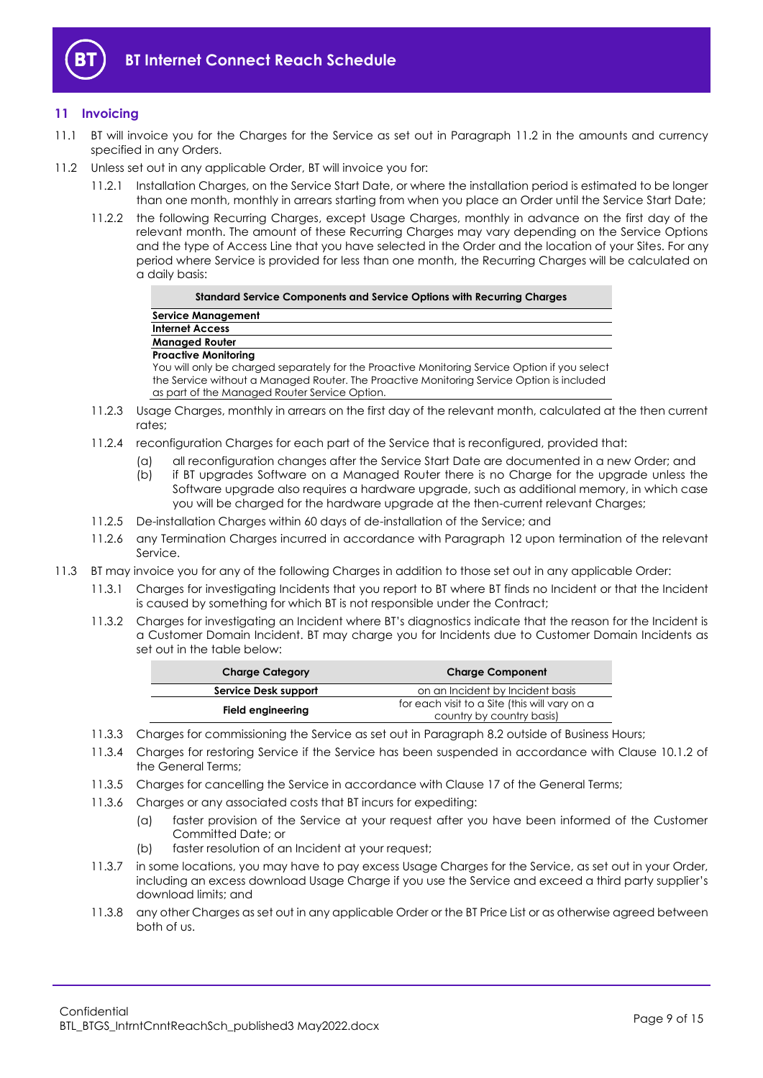

# <span id="page-8-0"></span>**11 Invoicing**

- 11.1 BT will invoice you for the Charges for the Service as set out in Paragraph [11.2](#page-8-1) in the amounts and currency specified in any Orders.
- <span id="page-8-1"></span>11.2 Unless set out in any applicable Order, BT will invoice you for:
	- 11.2.1 Installation Charges, on the Service Start Date, or where the installation period is estimated to be longer than one month, monthly in arrears starting from when you place an Order until the Service Start Date;
	- 11.2.2 the following Recurring Charges, except Usage Charges, monthly in advance on the first day of the relevant month. The amount of these Recurring Charges may vary depending on the Service Options and the type of Access Line that you have selected in the Order and the location of your Sites. For any period where Service is provided for less than one month, the Recurring Charges will be calculated on a daily basis:

**Internet Access Managed Router**

**Service Management**

**Proactive Monitoring**

 $\sim$ 

You will only be charged separately for the Proactive Monitoring Service Option if you select the Service without a Managed Router. The Proactive Monitoring Service Option is included as part of the Managed Router Service Option.

- 11.2.3 Usage Charges, monthly in arrears on the first day of the relevant month, calculated at the then current rates;
- 11.2.4 reconfiguration Charges for each part of the Service that is reconfigured, provided that:
	- (a) all reconfiguration changes after the Service Start Date are documented in a new Order; and
		- (b) if BT upgrades Software on a Managed Router there is no Charge for the upgrade unless the Software upgrade also requires a hardware upgrade, such as additional memory, in which case you will be charged for the hardware upgrade at the then-current relevant Charges;
- 11.2.5 De-installation Charges within 60 days of de-installation of the Service; and
- 11.2.6 any Termination Charges incurred in accordance with Paragraph [12](#page-9-0) upon termination of the relevant Service.
- 11.3 BT may invoice you for any of the following Charges in addition to those set out in any applicable Order:
	- 11.3.1 Charges for investigating Incidents that you report to BT where BT finds no Incident or that the Incident is caused by something for which BT is not responsible under the Contract;
	- 11.3.2 Charges for investigating an Incident where BT's diagnostics indicate that the reason for the Incident is a Customer Domain Incident. BT may charge you for Incidents due to Customer Domain Incidents as set out in the table below:

| <b>Charge Category</b> | <b>Charge Component</b>                       |  |  |
|------------------------|-----------------------------------------------|--|--|
| Service Desk support   | on an Incident by Incident basis              |  |  |
|                        | for each visit to a Site (this will vary on a |  |  |
| Field engineering      | country by country basis)                     |  |  |

- 11.3.3 Charges for commissioning the Service as set out in Paragraph [8.2](#page-5-2) outside of Business Hours;
- 11.3.4 Charges for restoring Service if the Service has been suspended in accordance with Clause 10.1.2 of the General Terms;
- 11.3.5 Charges for cancelling the Service in accordance with Clause 17 of the General Terms;
- 11.3.6 Charges or any associated costs that BT incurs for expediting:
	- (a) faster provision of the Service at your request after you have been informed of the Customer Committed Date; or
	- (b) faster resolution of an Incident at your request;
- 11.3.7 in some locations, you may have to pay excess Usage Charges for the Service, as set out in your Order, including an excess download Usage Charge if you use the Service and exceed a third party supplier's download limits; and
- 11.3.8 any other Charges as set out in any applicable Order or the BT Price List or as otherwise agreed between both of us.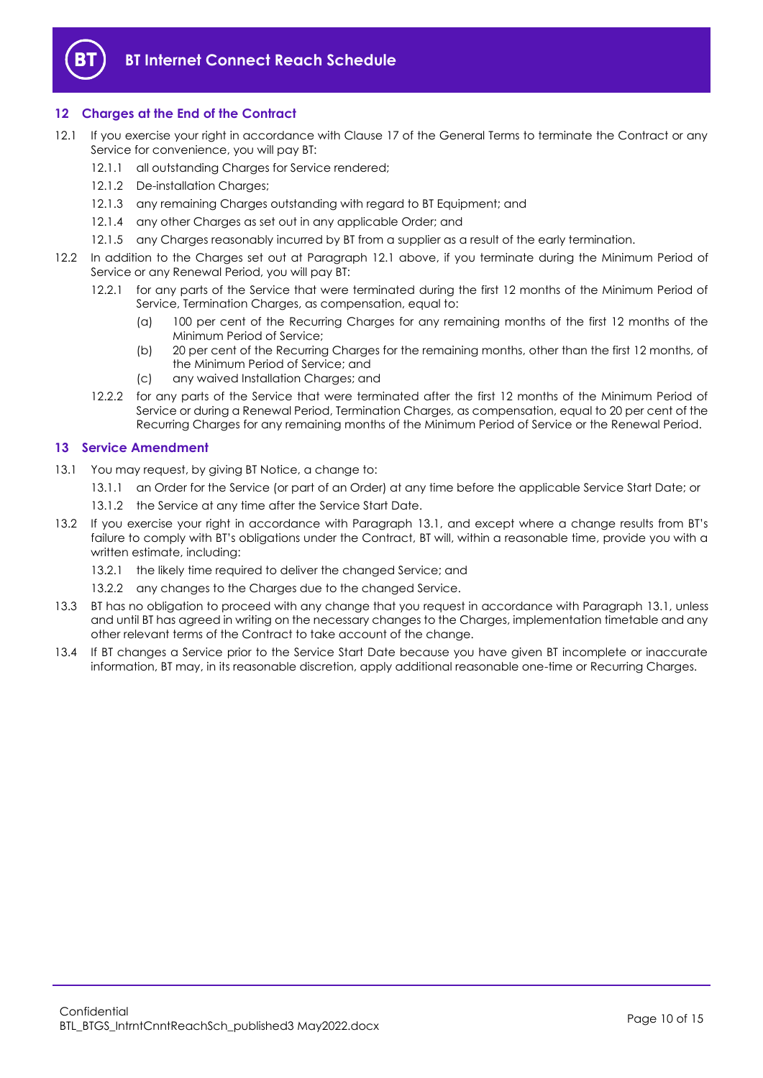

# <span id="page-9-0"></span>**12 Charges at the End of the Contract**

- <span id="page-9-2"></span>12.1 If you exercise your right in accordance with Clause 17 of the General Terms to terminate the Contract or any Service for convenience, you will pay BT:
	- 12.1.1 all outstanding Charges for Service rendered:
	- 12.1.2 De-installation Charges;
	- 12.1.3 any remaining Charges outstanding with regard to BT Equipment; and
	- 12.1.4 any other Charges as set out in any applicable Order; and
	- 12.1.5 any Charges reasonably incurred by BT from a supplier as a result of the early termination.
- 12.2 In addition to the Charges set out at Paragraph [12.1](#page-9-2) above, if you terminate during the Minimum Period of Service or any Renewal Period, you will pay BT:
	- 12.2.1 for any parts of the Service that were terminated during the first 12 months of the Minimum Period of Service, Termination Charges, as compensation, equal to:
		- (a) 100 per cent of the Recurring Charges for any remaining months of the first 12 months of the Minimum Period of Service;
		- (b) 20 per cent of the Recurring Charges for the remaining months, other than the first 12 months, of the Minimum Period of Service; and
		- (c) any waived Installation Charges; and
	- 12.2.2 for any parts of the Service that were terminated after the first 12 months of the Minimum Period of Service or during a Renewal Period, Termination Charges, as compensation, equal to 20 per cent of the Recurring Charges for any remaining months of the Minimum Period of Service or the Renewal Period.

# <span id="page-9-1"></span>**13 Service Amendment**

- <span id="page-9-3"></span>13.1 You may request, by giving BT Notice, a change to:
	- 13.1.1 an Order for the Service (or part of an Order) at any time before the applicable Service Start Date; or
	- 13.1.2 the Service at any time after the Service Start Date.
- 13.2 If you exercise your right in accordance with Paragraph [13.1](#page-9-3), and except where a change results from BT's failure to comply with BT's obligations under the Contract, BT will, within a reasonable time, provide you with a written estimate, including:
	- 13.2.1 the likely time required to deliver the changed Service; and
	- 13.2.2 any changes to the Charges due to the changed Service.
- 13.3 BT has no obligation to proceed with any change that you request in accordance with Paragraph [13.1,](#page-9-3) unless and until BT has agreed in writing on the necessary changes to the Charges, implementation timetable and any other relevant terms of the Contract to take account of the change.
- 13.4 If BT changes a Service prior to the Service Start Date because you have given BT incomplete or inaccurate information, BT may, in its reasonable discretion, apply additional reasonable one-time or Recurring Charges.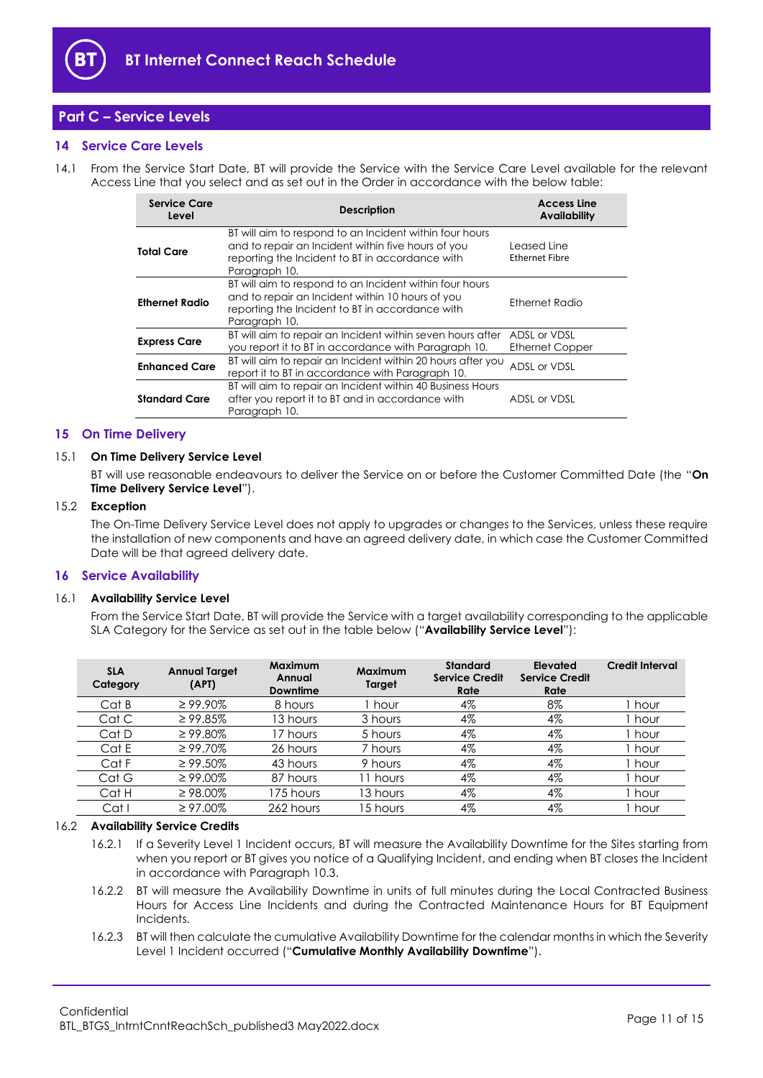

# <span id="page-10-0"></span>**Part C – Service Levels**

# <span id="page-10-1"></span>**14 Service Care Levels**

14.1 From the Service Start Date, BT will provide the Service with the Service Care Level available for the relevant Access Line that you select and as set out in the Order in accordance with the below table:

| <b>Service Care</b><br>Level | <b>Description</b>                                                                                                                                                                | <b>Access Line</b><br><b>Availability</b> |  |
|------------------------------|-----------------------------------------------------------------------------------------------------------------------------------------------------------------------------------|-------------------------------------------|--|
| <b>Total Care</b>            | BT will aim to respond to an Incident within four hours<br>and to repair an Incident within five hours of you<br>reporting the Incident to BT in accordance with<br>Paragraph 10. | Leased Line<br><b>Ethernet Fibre</b>      |  |
| <b>Ethernet Radio</b>        | BT will aim to respond to an Incident within four hours<br>and to repair an Incident within 10 hours of you<br>reporting the Incident to BT in accordance with<br>Paragraph 10.   | Ethernet Radio                            |  |
| <b>Express Care</b>          | BT will aim to repair an Incident within seven hours after<br>you report it to BT in accordance with Paragraph 10.                                                                | ADSL or VDSL<br><b>Ethernet Copper</b>    |  |
| <b>Enhanced Care</b>         | BT will aim to repair an Incident within 20 hours after you<br>report it to BT in accordance with Paragraph 10.                                                                   | ADSL or VDSL                              |  |
| <b>Standard Care</b>         | BT will aim to repair an Incident within 40 Business Hours<br>after you report it to BT and in accordance with<br>Paragraph 10.                                                   | ADSL or VDSL                              |  |

#### <span id="page-10-2"></span>**15 On Time Delivery**

#### <span id="page-10-6"></span>15.1 **On Time Delivery Service Level**

BT will use reasonable endeavours to deliver the Service on or before the Customer Committed Date (the "**On Time Delivery Service Level**").

#### 15.2 **Exception**

The On-Time Delivery Service Level does not apply to upgrades or changes to the Services, unless these require the installation of new components and have an agreed delivery date, in which case the Customer Committed Date will be that agreed delivery date.

# <span id="page-10-3"></span>**16 Service Availability**

#### <span id="page-10-4"></span>16.1 **Availability Service Level**

From the Service Start Date, BT will provide the Service with a target availability corresponding to the applicable SLA Category for the Service as set out in the table below ("**Availability Service Level**"):

| <b>SLA</b><br>Category | <b>Annual Target</b><br>(APT) | <b>Maximum</b><br>Annual<br>Downtime | Maximum<br>Target | <b>Standard</b><br><b>Service Credit</b><br>Rate | Elevated<br>Service Credit<br>Rate | <b>Credit Interval</b> |
|------------------------|-------------------------------|--------------------------------------|-------------------|--------------------------------------------------|------------------------------------|------------------------|
| Cat B                  | $\geq 99.90\%$                | 8 hours                              | hour              | 4%                                               | 8%                                 | hour                   |
| Cat C                  | $\geq 99.85\%$                | 13 hours                             | 3 hours           | 4%                                               | 4%                                 | hour                   |
| Cat D                  | $\geq 99.80\%$                | 17 hours                             | 5 hours           | 4%                                               | 4%                                 | hour                   |
| Cat E                  | $\geq 99.70\%$                | 26 hours                             | 7 hours           | 4%                                               | 4%                                 | hour                   |
| Cat F                  | $\geq 99.50\%$                | 43 hours                             | 9 hours           | 4%                                               | 4%                                 | hour                   |
| Cat G                  | $\geq 99.00\%$                | 87 hours                             | i 1 hours         | 4%                                               | 4%                                 | hour                   |
| Cat H                  | $\geq 98.00\%$                | 175 hours                            | 13 hours          | 4%                                               | 4%                                 | hour                   |
| Cat                    | $\geq 97.00\%$                | 262 hours                            | 15 hours          | 4%                                               | 4%                                 | hour                   |

# 16.2 **Availability Service Credits**

- 16.2.1 If a Severity Level 1 Incident occurs, BT will measure the Availability Downtime for the Sites starting from when you report or BT gives you notice of a Qualifying Incident, and ending when BT closes the Incident in accordance with Paragraph [10.3.](#page-7-3)
- 16.2.2 BT will measure the Availability Downtime in units of full minutes during the Local Contracted Business Hours for Access Line Incidents and during the Contracted Maintenance Hours for BT Equipment Incidents.
- <span id="page-10-5"></span>16.2.3 BT will then calculate the cumulative Availability Downtime for the calendar months in which the Severity Level 1 Incident occurred ("**Cumulative Monthly Availability Downtime**").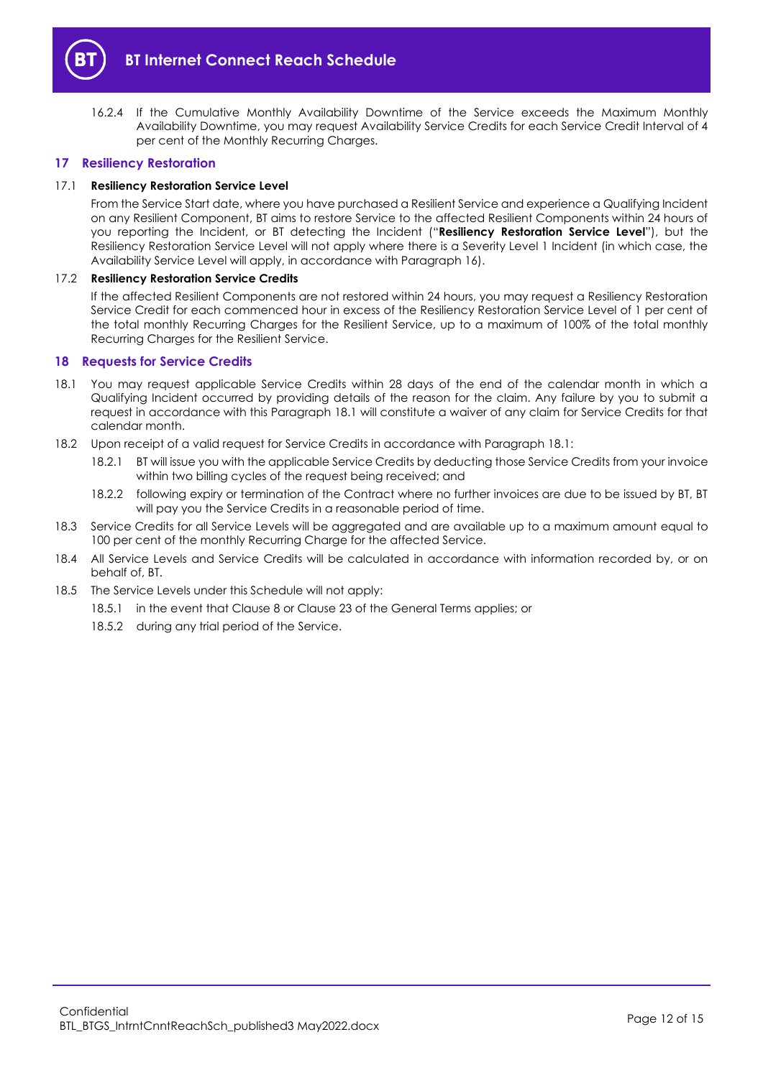

<span id="page-11-3"></span>16.2.4 If the Cumulative Monthly Availability Downtime of the Service exceeds the Maximum Monthly Availability Downtime, you may request Availability Service Credits for each Service Credit Interval of 4 per cent of the Monthly Recurring Charges.

# <span id="page-11-0"></span>**17 Resiliency Restoration**

#### <span id="page-11-4"></span>17.1 **Resiliency Restoration Service Level**

From the Service Start date, where you have purchased a Resilient Service and experience a Qualifying Incident on any Resilient Component, BT aims to restore Service to the affected Resilient Components within 24 hours of you reporting the Incident, or BT detecting the Incident ("**Resiliency Restoration Service Level**"), but the Resiliency Restoration Service Level will not apply where there is a Severity Level 1 Incident (in which case, the Availability Service Level will apply, in accordance with Paragrap[h 16\)](#page-10-3).

# 17.2 **Resiliency Restoration Service Credits**

If the affected Resilient Components are not restored within 24 hours, you may request a Resiliency Restoration Service Credit for each commenced hour in excess of the Resiliency Restoration Service Level of 1 per cent of the total monthly Recurring Charges for the Resilient Service, up to a maximum of 100% of the total monthly Recurring Charges for the Resilient Service.

#### <span id="page-11-1"></span>**18 Requests for Service Credits**

- <span id="page-11-2"></span>18.1 You may request applicable Service Credits within 28 days of the end of the calendar month in which a Qualifying Incident occurred by providing details of the reason for the claim. Any failure by you to submit a request in accordance with this Paragraph [18.1](#page-11-2) will constitute a waiver of any claim for Service Credits for that calendar month.
- 18.2 Upon receipt of a valid request for Service Credits in accordance with Paragrap[h 18.1:](#page-11-2)
	- 18.2.1 BT will issue you with the applicable Service Credits by deducting those Service Credits from your invoice within two billing cycles of the request being received; and
	- 18.2.2 following expiry or termination of the Contract where no further invoices are due to be issued by BT, BT will pay you the Service Credits in a reasonable period of time.
- 18.3 Service Credits for all Service Levels will be aggregated and are available up to a maximum amount equal to 100 per cent of the monthly Recurring Charge for the affected Service.
- 18.4 All Service Levels and Service Credits will be calculated in accordance with information recorded by, or on behalf of, BT.
- 18.5 The Service Levels under this Schedule will not apply:
	- 18.5.1 in the event that Clause 8 or Clause 23 of the General Terms applies; or
	- 18.5.2 during any trial period of the Service.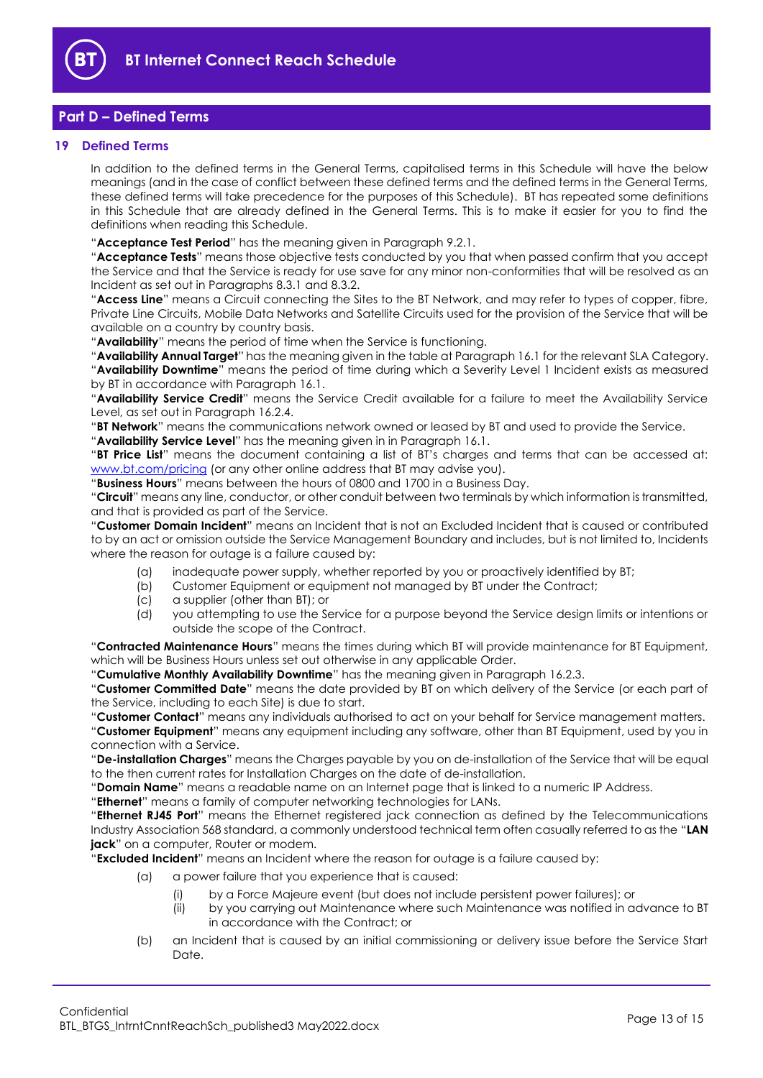

# <span id="page-12-0"></span>**Part D – Defined Terms**

# <span id="page-12-1"></span>**19 Defined Terms**

In addition to the defined terms in the General Terms, capitalised terms in this Schedule will have the below meanings (and in the case of conflict between these defined terms and the defined terms in the General Terms, these defined terms will take precedence for the purposes of this Schedule). BT has repeated some definitions in this Schedule that are already defined in the General Terms. This is to make it easier for you to find the definitions when reading this Schedule.

"**Acceptance Test Period**" has the meaning given in Paragrap[h 9.2.1.](#page-6-4)

"**Acceptance Tests**" means those objective tests conducted by you that when passed confirm that you accept the Service and that the Service is ready for use save for any minor non-conformities that will be resolved as an Incident as set out in Paragraph[s 8.3.1](#page-5-4) an[d 8.3.2.](#page-5-5)

"**Access Line**" means a Circuit connecting the Sites to the BT Network, and may refer to types of copper, fibre, Private Line Circuits, Mobile Data Networks and Satellite Circuits used for the provision of the Service that will be available on a country by country basis.

"**Availability**" means the period of time when the Service is functioning.

"**Availability Annual Target**" has the meaning given in the table at Paragrap[h 16.1](#page-10-4) for the relevant SLA Category. "**Availability Downtime**" means the period of time during which a Severity Level 1 Incident exists as measured by BT in accordance with Paragrap[h 16.1.](#page-10-4)

"**Availability Service Credit**" means the Service Credit available for a failure to meet the Availability Service Level, as set out in Paragrap[h 16.2.4.](#page-11-3)

"**BT Network**" means the communications network owned or leased by BT and used to provide the Service.

"**Availability Service Level**" has the meaning given in in Paragraph [16.1.](#page-10-4)

"**BT Price List**" means the document containing a list of BT's charges and terms that can be accessed at: [www.bt.com/pricing](http://www.bt.com/pricing) (or any other online address that BT may advise you).

"**Business Hours**" means between the hours of 0800 and 1700 in a Business Day.

"**Circuit**" means any line, conductor, or other conduit between two terminals by which information is transmitted, and that is provided as part of the Service.

"**Customer Domain Incident**" means an Incident that is not an Excluded Incident that is caused or contributed to by an act or omission outside the Service Management Boundary and includes, but is not limited to, Incidents where the reason for outage is a failure caused by:

- (a) inadequate power supply, whether reported by you or proactively identified by BT;
- (b) Customer Equipment or equipment not managed by BT under the Contract;
- (c) a supplier (other than BT); or
- (d) you attempting to use the Service for a purpose beyond the Service design limits or intentions or outside the scope of the Contract.

"**Contracted Maintenance Hours**" means the times during which BT will provide maintenance for BT Equipment, which will be Business Hours unless set out otherwise in any applicable Order.

"**Cumulative Monthly Availability Downtime**" has the meaning given in Paragrap[h 16.2.3.](#page-10-5)

"**Customer Committed Date**" means the date provided by BT on which delivery of the Service (or each part of the Service, including to each Site) is due to start.

"**Customer Contact**" means any individuals authorised to act on your behalf for Service management matters. "**Customer Equipment**" means any equipment including any software, other than BT Equipment, used by you in connection with a Service.

"**De-installation Charges**" means the Charges payable by you on de-installation of the Service that will be equal to the then current rates for Installation Charges on the date of de-installation.

"**Domain Name**" means a readable name on an Internet page that is linked to a numeric IP Address.

"**Ethernet**" means a family of computer networking technologies for LANs.

"**Ethernet RJ45 Port**" means the Ethernet registered jack connection as defined by the Telecommunications Industry Association 568 standard, a commonly understood technical term often casually referred to as the "**LAN jack**" on a computer, Router or modem.

"**Excluded Incident**" means an Incident where the reason for outage is a failure caused by:

- (a) a power failure that you experience that is caused:
	- (i) by a Force Majeure event (but does not include persistent power failures); or
	- (ii) by you carrying out Maintenance where such Maintenance was notified in advance to BT in accordance with the Contract; or
- (b) an Incident that is caused by an initial commissioning or delivery issue before the Service Start Date.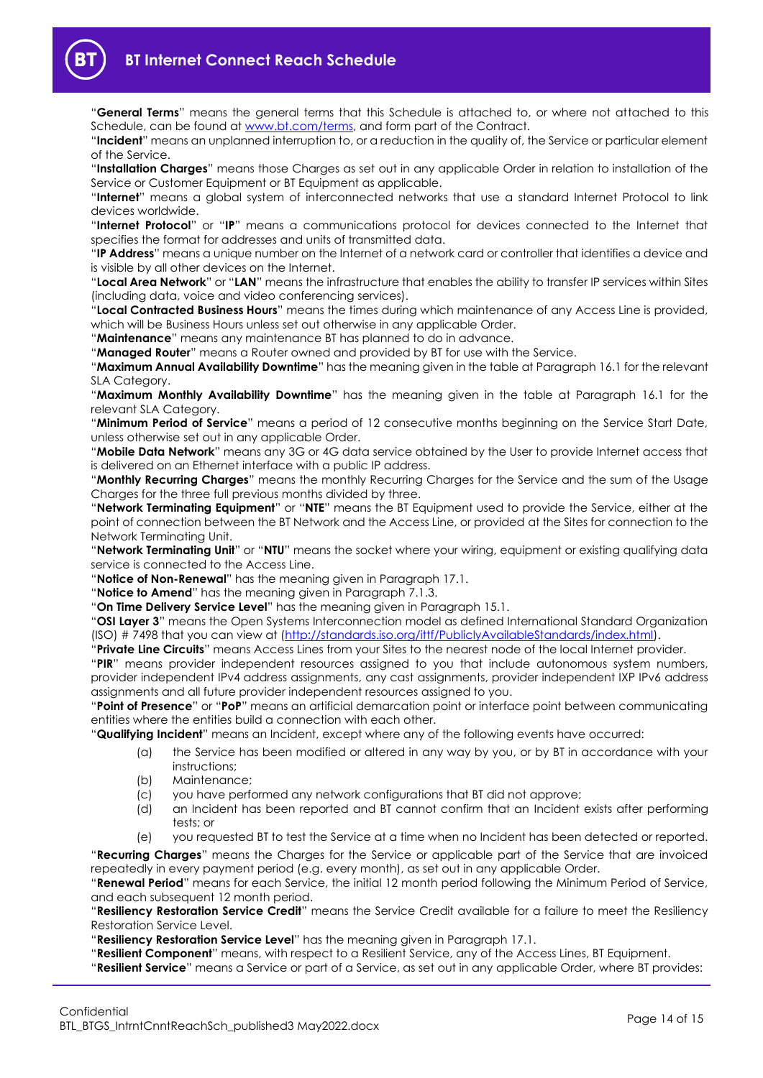

"**General Terms**" means the general terms that this Schedule is attached to, or where not attached to this Schedule, can be found at [www.bt.com/terms,](http://www.bt.com/terms) and form part of the Contract.

"**Incident**" means an unplanned interruption to, or a reduction in the quality of, the Service or particular element of the Service.

"**Installation Charges**" means those Charges as set out in any applicable Order in relation to installation of the Service or Customer Equipment or BT Equipment as applicable.

"**Internet**" means a global system of interconnected networks that use a standard Internet Protocol to link devices worldwide.

"**Internet Protocol**" or "**IP**" means a communications protocol for devices connected to the Internet that specifies the format for addresses and units of transmitted data.

"**IP Address**" means a unique number on the Internet of a network card or controller that identifies a device and is visible by all other devices on the Internet.

"**Local Area Network**" or "**LAN**" means the infrastructure that enables the ability to transfer IP services within Sites (including data, voice and video conferencing services).

"**Local Contracted Business Hours**" means the times during which maintenance of any Access Line is provided, which will be Business Hours unless set out otherwise in any applicable Order.

"**Maintenance**" means any maintenance BT has planned to do in advance.

"**Managed Router**" means a Router owned and provided by BT for use with the Service.

"**Maximum Annual Availability Downtime**" has the meaning given in the table at Paragrap[h 16.1](#page-10-4) for the relevant SLA Category.

"**Maximum Monthly Availability Downtime**" has the meaning given in the table at Paragraph [16.1](#page-10-4) for the relevant SLA Category.

"**Minimum Period of Service**" means a period of 12 consecutive months beginning on the Service Start Date, unless otherwise set out in any applicable Order.

"**Mobile Data Network**" means any 3G or 4G data service obtained by the User to provide Internet access that is delivered on an Ethernet interface with a public IP address.

"**Monthly Recurring Charges**" means the monthly Recurring Charges for the Service and the sum of the Usage Charges for the three full previous months divided by three.

"**Network Terminating Equipment**" or "**NTE**" means the BT Equipment used to provide the Service, either at the point of connection between the BT Network and the Access Line, or provided at the Sites for connection to the Network Terminating Unit.

"**Network Terminating Unit**" or "**NTU**" means the socket where your wiring, equipment or existing qualifying data service is connected to the Access Line.

"**Notice of Non-Renewal**" has the meaning given in Paragrap[h 17.1.](#page-11-4)

"**Notice to Amend**" has the meaning given in Paragraph [7.1.3.](#page-3-3)

"**On Time Delivery Service Level**" has the meaning given in Paragrap[h 15.1.](#page-10-6)

"**OSI Layer 3**" means the Open Systems Interconnection model as defined International Standard Organization (ISO) # 7498 that you can view at [\(http://standards.iso.org/ittf/PubliclyAvailableStandards/index.html\)](http://standards.iso.org/ittf/PubliclyAvailableStandards/index.html).

"**Private Line Circuits**" means Access Lines from your Sites to the nearest node of the local Internet provider.

"**PIR**" means provider independent resources assigned to you that include autonomous system numbers, provider independent IPv4 address assignments, any cast assignments, provider independent IXP IPv6 address assignments and all future provider independent resources assigned to you.

"**Point of Presence**" or "**PoP**" means an artificial demarcation point or interface point between communicating entities where the entities build a connection with each other.

"**Qualifying Incident**" means an Incident, except where any of the following events have occurred:

- (a) the Service has been modified or altered in any way by you, or by BT in accordance with your instructions;
	- (b) Maintenance;
- (c) you have performed any network configurations that BT did not approve;
- (d) an Incident has been reported and BT cannot confirm that an Incident exists after performing tests; or
- (e) you requested BT to test the Service at a time when no Incident has been detected or reported.

"**Recurring Charges**" means the Charges for the Service or applicable part of the Service that are invoiced repeatedly in every payment period (e.g. every month), as set out in any applicable Order.

"**Renewal Period**" means for each Service, the initial 12 month period following the Minimum Period of Service, and each subsequent 12 month period.

"**Resiliency Restoration Service Credit**" means the Service Credit available for a failure to meet the Resiliency Restoration Service Level.

"**Resiliency Restoration Service Level**" has the meaning given in Paragrap[h 17.1.](#page-11-4)

"**Resilient Component**" means, with respect to a Resilient Service, any of the Access Lines, BT Equipment.

"**Resilient Service**" means a Service or part of a Service, as set out in any applicable Order, where BT provides: